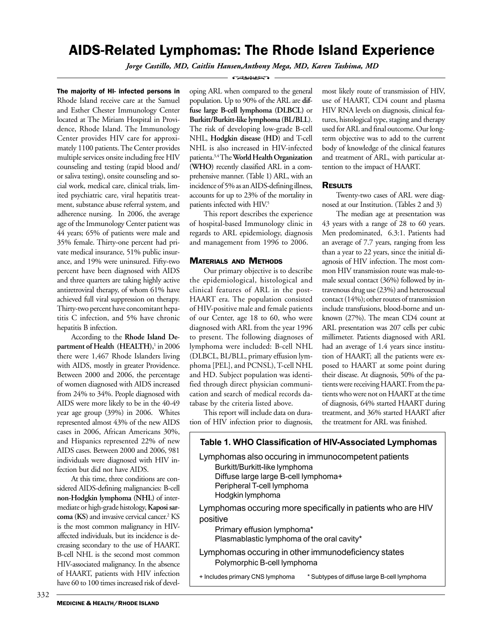# AIDS-Related Lymphomas: The Rhode Island Experience

*Jorge Castillo, MD, Caitlin Hansen,Anthony Mega, MD, Karen Tashima, MD*

The majority of HI- infected persons in Rhode Island receive care at the Samuel and Esther Chester Immunology Center located at The Miriam Hospital in Providence, Rhode Island. The Immunology Center provides HIV care for approximately 1100 patients. The Center provides multiple services onsite including free HIV counseling and testing (rapid blood and/ or saliva testing), onsite counseling and social work, medical care, clinical trials, limited psychiatric care, viral hepatitis treatment, substance abuse referral system, and adherence nursing. In 2006, the average age of the Immunology Center patient was 44 years; 65% of patients were male and 35% female. Thirty-one percent had private medical insurance, 51% public insurance, and 19% were uninsured. Fifty-two percent have been diagnosed with AIDS and three quarters are taking highly active antiretroviral therapy, of whom 61% have achieved full viral suppression on therapy. Thirty-two percent have concomitant hepatitis C infection, and 5% have chronic hepatitis B infection.

According to the **Rhode Island Department of Health (HEALTH),**<sup>1</sup> in 2006 there were 1,467 Rhode Islanders living with AIDS, mostly in greater Providence. Between 2000 and 2006, the percentage of women diagnosed with AIDS increased from 24% to 34%. People diagnosed with AIDS were more likely to be in the 40-49 year age group (39%) in 2006. Whites represented almost 43% of the new AIDS cases in 2006, African Americans 30%, and Hispanics represented 22% of new AIDS cases. Between 2000 and 2006, 981 individuals were diagnosed with HIV infection but did not have AIDS.

At this time, three conditions are considered AIDS-defining malignancies: B-cell **non-Hodgkin lymphoma (NHL)** of intermediate or high-grade histology, **Kaposi sar**coma (KS) and invasive cervical cancer.<sup>2</sup> KS is the most common malignancy in HIVaffected individuals, but its incidence is decreasing secondary to the use of HAART. B-cell NHL is the second most common HIV-associated malignancy. In the absence of HAART, patients with HIV infection have 60 to 100 times increased risk of devel-

#### **COMMAND**

oping ARL when compared to the general population. Up to 90% of the ARL are **diffuse large B-cell lymphoma (DLBCL)** or **Burkitt/Burkitt-like lymphoma (BL/BLL**). The risk of developing low-grade B-cell NHL, **Hodgkin disease (HD)** and T-cell NHL is also increased in HIV-infected patienta.3,4 The **World Health Organization (WHO)** recently classified ARL in a comprehensive manner. (Table 1) ARL, with an incidence of 5% as an AIDS-defining illness, accounts for up to 23% of the mortality in patients infected with HIV.<sup>5</sup>

This report describes the experience of hospital-based Immunology clinic in regards to ARL epidemiology, diagnosis and management from 1996 to 2006.

### MATERIALS AND METHODS

Our primary objective is to describe the epidemiological, histological and clinical features of ARL in the post-HAART era. The population consisted of HIV-positive male and female patients of our Center, age 18 to 60, who were diagnosed with ARL from the year 1996 to present. The following diagnoses of lymphoma were included: B-cell NHL (DLBCL, BL/BLL, primary effusion lymphoma [PEL], and PCNSL), T-cell NHL and HD. Subject population was identified through direct physician communication and search of medical records database by the criteria listed above.

This report will include data on duration of HIV infection prior to diagnosis, most likely route of transmission of HIV, use of HAART, CD4 count and plasma HIV RNA levels on diagnosis, clinical features, histological type, staging and therapy used for ARL and final outcome. Our longterm objective was to add to the current body of knowledge of the clinical features and treatment of ARL, with particular attention to the impact of HAART.

### **RESULTS**

Twenty-two cases of ARL were diagnosed at our Institution. (Tables 2 and 3)

The median age at presentation was 43 years with a range of 28 to 60 years. Men predominated, 6.3:1. Patients had an average of 7.7 years, ranging from less than a year to 22 years, since the initial diagnosis of HIV infection. The most common HIV transmission route was male-tomale sexual contact (36%) followed by intravenous drug use (23%) and heterosexual contact (14%); other routes of transmission include transfusions, blood-borne and unknown (27%). The mean CD4 count at ARL presentation was 207 cells per cubic millimeter. Patients diagnosed with ARL had an average of 1.4 years since institution of HAART; all the patients were exposed to HAART at some point during their disease. At diagnosis, 50% of the patients were receiving HAART. From the patients who were not on HAART at the time of diagnosis, 64% started HAART during treatment, and 36% started HAART after the treatment for ARL was finished.



332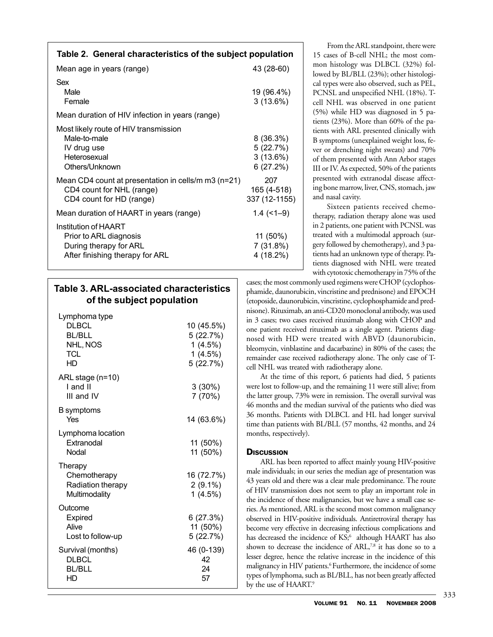| Table 2. General characteristics of the subject population                                                     |                                                 |
|----------------------------------------------------------------------------------------------------------------|-------------------------------------------------|
| Mean age in years (range)                                                                                      | 43 (28-60)                                      |
| Sex<br>Male<br>Female                                                                                          | 19 (96.4%)<br>3(13.6%)                          |
| Mean duration of HIV infection in years (range)                                                                |                                                 |
| Most likely route of HIV transmission<br>Male-to-male<br>IV drug use<br>Heterosexual<br>Others/Unknown         | $8(36.3\%)$<br>5(22.7%)<br>3(13.6%)<br>6(27.2%) |
| Mean CD4 count at presentation in cells/m $m3$ (n=21)<br>CD4 count for NHL (range)<br>CD4 count for HD (range) | 207<br>165 (4-518)<br>337 (12-1155)             |
| Mean duration of HAART in years (range)                                                                        | $1.4$ (<1-9)                                    |
| Institution of HAART<br>Prior to ARL diagnosis<br>During therapy for ARL<br>After finishing therapy for ARL    | $11(50\%)$<br>7(31.8%)<br>4 (18.2%)             |

## **Table 3. ARL-associated characteristics of the subject population**

| Lymphoma type<br><b>DLBCL</b><br><b>BL/BLL</b><br>NHL, NOS<br>TCL<br>HD | 10 (45.5%)<br>5(22.7%)<br>$1(4.5\%)$<br>1(4.5%)<br>5(22.7%) |
|-------------------------------------------------------------------------|-------------------------------------------------------------|
| ARL stage (n=10)<br>I and II<br>III and IV                              | $3(30\%)$<br>7 (70%)                                        |
| B symptoms<br>Yes                                                       | 14 (63.6%)                                                  |
| Lymphoma location<br>Extranodal<br>Nodal                                | 11 (50%)<br>11 (50%)                                        |
| Therapy<br>Chemotherapy<br>Radiation therapy<br>Multimodality           | 16 (72.7%)<br>$2(9.1\%)$<br>1(4.5%)                         |
| Outcome<br>Expired<br>Alive<br>Lost to follow-up                        | 6(27.3%)<br>11 (50%)<br>5(22.7%)                            |
| Survival (months)<br><b>DLBCL</b><br><b>BL/BLL</b><br>HD                | 46 (0-139)<br>42<br>24<br>57                                |

From the ARL standpoint, there were 15 cases of B-cell NHL; the most common histology was DLBCL (32%) followed by BL/BLL (23%); other histological types were also observed, such as PEL, PCNSL and unspecified NHL (18%). Tcell NHL was observed in one patient (5%) while HD was diagnosed in 5 patients (23%). More than 60% of the patients with ARL presented clinically with B symptoms (unexplained weight loss, fever or drenching night sweats) and 70% of them presented with Ann Arbor stages III or IV. As expected, 50% of the patients presented with extranodal disease affecting bone marrow, liver, CNS, stomach, jaw and nasal cavity.

Sixteen patients received chemotherapy, radiation therapy alone was used in 2 patients, one patient with PCNSL was treated with a multimodal approach (surgery followed by chemotherapy), and 3 patients had an unknown type of therapy. Patients diagnosed with NHL were treated with cytotoxic chemotherapy in 75% of the

cases; the most commonly used regimens were CHOP (cyclophosphamide, daunorubicin, vincristine and prednisone) and EPOCH (etoposide, daunorubicin, vincristine, cyclophosphamide and prednisone). Rituximab, an anti-CD20 monoclonal antibody, was used in 3 cases; two cases received rituximab along with CHOP and one patient received rituximab as a single agent. Patients diagnosed with HD were treated with ABVD (daunorubicin, bleomycin, vinblastine and dacarbazine) in 80% of the cases; the remainder case received radiotherapy alone. The only case of Tcell NHL was treated with radiotherapy alone.

At the time of this report, 6 patients had died, 5 patients were lost to follow-up, and the remaining 11 were still alive; from the latter group, 73% were in remission. The overall survival was 46 months and the median survival of the patients who died was 36 months. Patients with DLBCL and HL had longer survival time than patients with BL/BLL (57 months, 42 months, and 24 months, respectively).

### **DISCUSSION**

ARL has been reported to affect mainly young HIV-positive male individuals; in our series the median age of presentation was 43 years old and there was a clear male predominance. The route of HIV transmission does not seem to play an important role in the incidence of these malignancies, but we have a small case series. As mentioned, ARL is the second most common malignancy observed in HIV-positive individuals. Antiretroviral therapy has become very effective in decreasing infectious complications and has decreased the incidence of KS;<sup>6</sup> although HAART has also shown to decrease the incidence of ARL,<sup>7,8</sup> it has done so to a lesser degree, hence the relative increase in the incidence of this malignancy in HIV patients.<sup>6</sup> Furthermore, the incidence of some types of lymphoma, such as BL/BLL, has not been greatly affected by the use of HAART.9